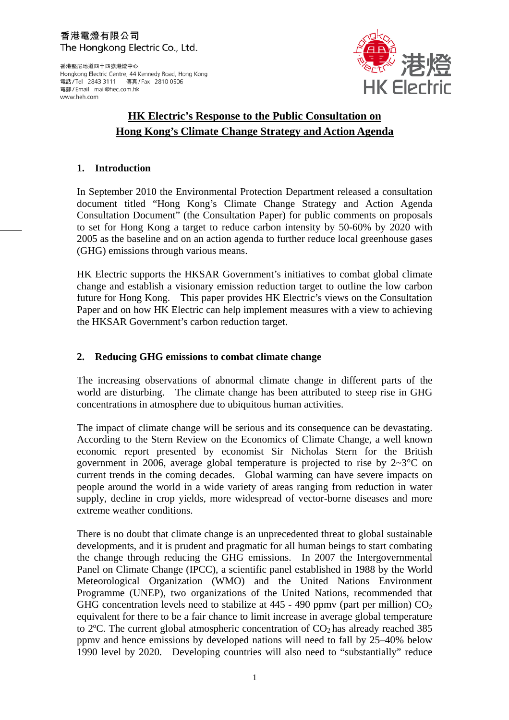#### 香港電燈有限公司 The Hongkong Electric Co., Ltd.

香港堅尼地道四十四號港燈中心 Hongkong Electric Centre, 44 Kennedy Road, Hong Kong 電話/Tel 2843 3111 傳真/Fax 2810 0506 電郵/Email mail@hec.com.hk www.heh.com



# **HK Electric's Response to the Public Consultation on Hong Kong's Climate Change Strategy and Action Agenda**

#### **1. Introduction**

In September 2010 the Environmental Protection Department released a consultation document titled "Hong Kong's Climate Change Strategy and Action Agenda Consultation Document" (the Consultation Paper) for public comments on proposals to set for Hong Kong a target to reduce carbon intensity by 50-60% by 2020 with 2005 as the baseline and on an action agenda to further reduce local greenhouse gases (GHG) emissions through various means.

HK Electric supports the HKSAR Government's initiatives to combat global climate change and establish a visionary emission reduction target to outline the low carbon future for Hong Kong. This paper provides HK Electric's views on the Consultation Paper and on how HK Electric can help implement measures with a view to achieving the HKSAR Government's carbon reduction target.

#### **2. Reducing GHG emissions to combat climate change**

The increasing observations of abnormal climate change in different parts of the world are disturbing. The climate change has been attributed to steep rise in GHG concentrations in atmosphere due to ubiquitous human activities.

The impact of climate change will be serious and its consequence can be devastating. According to the Stern Review on the Economics of Climate Change, a well known economic report presented by economist Sir Nicholas Stern for the British government in 2006, average global temperature is projected to rise by  $2{\sim}3^{\circ}C$  on current trends in the coming decades. Global warming can have severe impacts on people around the world in a wide variety of areas ranging from reduction in water supply, decline in crop yields, more widespread of vector-borne diseases and more extreme weather conditions.

There is no doubt that climate change is an unprecedented threat to global sustainable developments, and it is prudent and pragmatic for all human beings to start combating the change through reducing the GHG emissions. In 2007 the Intergovernmental Panel on Climate Change (IPCC), a scientific panel established in 1988 by the World Meteorological Organization (WMO) and the United Nations Environment Programme (UNEP), two organizations of the United Nations, recommended that GHG concentration levels need to stabilize at  $445 - 490$  ppmv (part per million)  $CO<sub>2</sub>$ equivalent for there to be a fair chance to limit increase in average global temperature to 2 $^{\circ}$ C. The current global atmospheric concentration of CO<sub>2</sub> has already reached 385 ppmv and hence emissions by developed nations will need to fall by 25–40% below 1990 level by 2020. Developing countries will also need to "substantially" reduce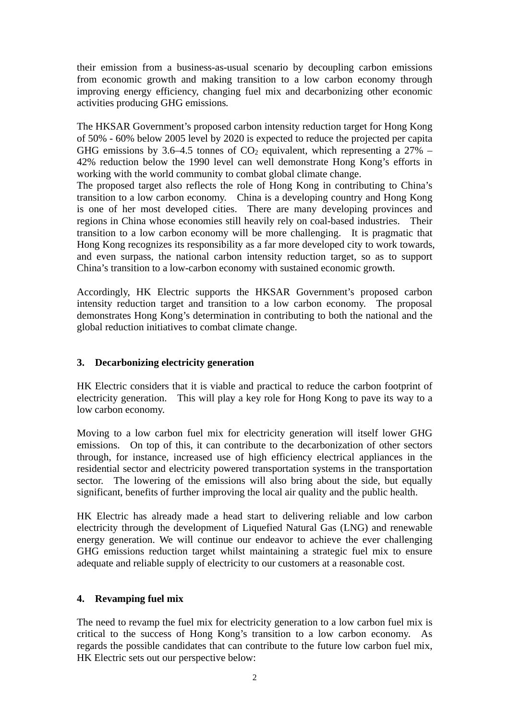their emission from a business-as-usual scenario by decoupling carbon emissions from economic growth and making transition to a low carbon economy through improving energy efficiency, changing fuel mix and decarbonizing other economic activities producing GHG emissions*.*

The HKSAR Government's proposed carbon intensity reduction target for Hong Kong of 50% - 60% below 2005 level by 2020 is expected to reduce the projected per capita GHG emissions by 3.6–4.5 tonnes of  $CO<sub>2</sub>$  equivalent, which representing a 27% – 42% reduction below the 1990 level can well demonstrate Hong Kong's efforts in working with the world community to combat global climate change.

The proposed target also reflects the role of Hong Kong in contributing to China's transition to a low carbon economy. China is a developing country and Hong Kong is one of her most developed cities. There are many developing provinces and regions in China whose economies still heavily rely on coal-based industries. Their transition to a low carbon economy will be more challenging. It is pragmatic that Hong Kong recognizes its responsibility as a far more developed city to work towards, and even surpass, the national carbon intensity reduction target, so as to support China's transition to a low-carbon economy with sustained economic growth.

Accordingly, HK Electric supports the HKSAR Government's proposed carbon intensity reduction target and transition to a low carbon economy. The proposal demonstrates Hong Kong's determination in contributing to both the national and the global reduction initiatives to combat climate change.

#### **3. Decarbonizing electricity generation**

HK Electric considers that it is viable and practical to reduce the carbon footprint of electricity generation. This will play a key role for Hong Kong to pave its way to a low carbon economy.

Moving to a low carbon fuel mix for electricity generation will itself lower GHG emissions. On top of this, it can contribute to the decarbonization of other sectors through, for instance, increased use of high efficiency electrical appliances in the residential sector and electricity powered transportation systems in the transportation sector. The lowering of the emissions will also bring about the side, but equally significant, benefits of further improving the local air quality and the public health.

HK Electric has already made a head start to delivering reliable and low carbon electricity through the development of Liquefied Natural Gas (LNG) and renewable energy generation. We will continue our endeavor to achieve the ever challenging GHG emissions reduction target whilst maintaining a strategic fuel mix to ensure adequate and reliable supply of electricity to our customers at a reasonable cost.

#### **4. Revamping fuel mix**

The need to revamp the fuel mix for electricity generation to a low carbon fuel mix is critical to the success of Hong Kong's transition to a low carbon economy. As regards the possible candidates that can contribute to the future low carbon fuel mix, HK Electric sets out our perspective below: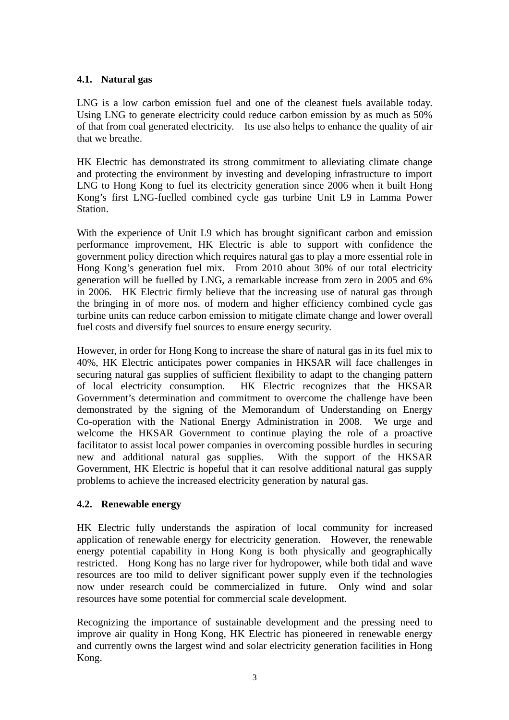## **4.1. Natural gas**

LNG is a low carbon emission fuel and one of the cleanest fuels available today. Using LNG to generate electricity could reduce carbon emission by as much as 50% of that from coal generated electricity. Its use also helps to enhance the quality of air that we breathe.

HK Electric has demonstrated its strong commitment to alleviating climate change and protecting the environment by investing and developing infrastructure to import LNG to Hong Kong to fuel its electricity generation since 2006 when it built Hong Kong's first LNG-fuelled combined cycle gas turbine Unit L9 in Lamma Power Station.

With the experience of Unit L9 which has brought significant carbon and emission performance improvement, HK Electric is able to support with confidence the government policy direction which requires natural gas to play a more essential role in Hong Kong's generation fuel mix. From 2010 about 30% of our total electricity generation will be fuelled by LNG, a remarkable increase from zero in 2005 and 6% in 2006. HK Electric firmly believe that the increasing use of natural gas through the bringing in of more nos. of modern and higher efficiency combined cycle gas turbine units can reduce carbon emission to mitigate climate change and lower overall fuel costs and diversify fuel sources to ensure energy security.

However, in order for Hong Kong to increase the share of natural gas in its fuel mix to 40%, HK Electric anticipates power companies in HKSAR will face challenges in securing natural gas supplies of sufficient flexibility to adapt to the changing pattern of local electricity consumption. HK Electric recognizes that the HKSAR Government's determination and commitment to overcome the challenge have been demonstrated by the signing of the Memorandum of Understanding on Energy Co-operation with the National Energy Administration in 2008. We urge and welcome the HKSAR Government to continue playing the role of a proactive facilitator to assist local power companies in overcoming possible hurdles in securing new and additional natural gas supplies. With the support of the HKSAR Government, HK Electric is hopeful that it can resolve additional natural gas supply problems to achieve the increased electricity generation by natural gas.

#### **4.2. Renewable energy**

HK Electric fully understands the aspiration of local community for increased application of renewable energy for electricity generation. However, the renewable energy potential capability in Hong Kong is both physically and geographically restricted. Hong Kong has no large river for hydropower, while both tidal and wave resources are too mild to deliver significant power supply even if the technologies now under research could be commercialized in future. Only wind and solar resources have some potential for commercial scale development.

Recognizing the importance of sustainable development and the pressing need to improve air quality in Hong Kong, HK Electric has pioneered in renewable energy and currently owns the largest wind and solar electricity generation facilities in Hong Kong.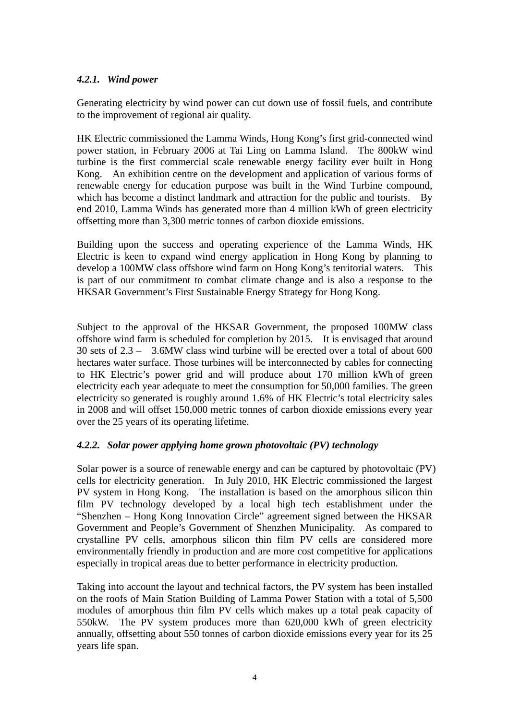#### *4.2.1. Wind power*

Generating electricity by wind power can cut down use of fossil fuels, and contribute to the improvement of regional air quality.

HK Electric commissioned the Lamma Winds, Hong Kong's first grid-connected wind power station, in February 2006 at Tai Ling on Lamma Island. The 800kW wind turbine is the first commercial scale renewable energy facility ever built in Hong Kong. An exhibition centre on the development and application of various forms of renewable energy for education purpose was built in the Wind Turbine compound, which has become a distinct landmark and attraction for the public and tourists. By end 2010, Lamma Winds has generated more than 4 million kWh of green electricity offsetting more than 3,300 metric tonnes of carbon dioxide emissions.

Building upon the success and operating experience of the Lamma Winds, HK Electric is keen to expand wind energy application in Hong Kong by planning to develop a 100MW class offshore wind farm on Hong Kong's territorial waters. This is part of our commitment to combat climate change and is also a response to the HKSAR Government's First Sustainable Energy Strategy for Hong Kong.

Subject to the approval of the HKSAR Government, the proposed 100MW class offshore wind farm is scheduled for completion by 2015. It is envisaged that around 30 sets of 2.3 – 3.6MW class wind turbine will be erected over a total of about 600 hectares water surface. Those turbines will be interconnected by cables for connecting to HK Electric's power grid and will produce about 170 million kWh of green electricity each year adequate to meet the consumption for 50,000 families. The green electricity so generated is roughly around 1.6% of HK Electric's total electricity sales in 2008 and will offset 150,000 metric tonnes of carbon dioxide emissions every year over the 25 years of its operating lifetime.

#### *4.2.2. Solar power applying home grown photovoltaic (PV) technology*

Solar power is a source of renewable energy and can be captured by photovoltaic (PV) cells for electricity generation. In July 2010, HK Electric commissioned the largest PV system in Hong Kong. The installation is based on the amorphous silicon thin film PV technology developed by a local high tech establishment under the "Shenzhen – Hong Kong Innovation Circle" agreement signed between the HKSAR Government and People's Government of Shenzhen Municipality. As compared to crystalline PV cells, amorphous silicon thin film PV cells are considered more environmentally friendly in production and are more cost competitive for applications especially in tropical areas due to better performance in electricity production.

Taking into account the layout and technical factors, the PV system has been installed on the roofs of Main Station Building of Lamma Power Station with a total of 5,500 modules of amorphous thin film PV cells which makes up a total peak capacity of 550kW. The PV system produces more than 620,000 kWh of green electricity annually, offsetting about 550 tonnes of carbon dioxide emissions every year for its 25 years life span.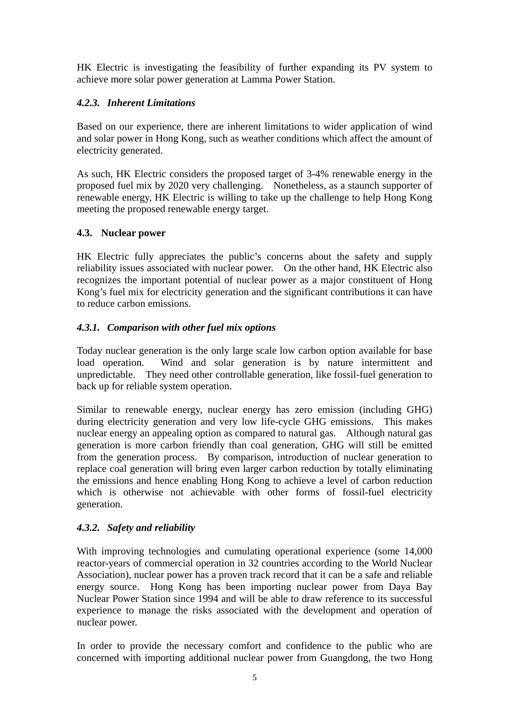HK Electric is investigating the feasibility of further expanding its PV system to achieve more solar power generation at Lamma Power Station.

## *4.2.3. Inherent Limitations*

Based on our experience, there are inherent limitations to wider application of wind and solar power in Hong Kong, such as weather conditions which affect the amount of electricity generated.

As such, HK Electric considers the proposed target of 3-4% renewable energy in the proposed fuel mix by 2020 very challenging. Nonetheless, as a staunch supporter of renewable energy, HK Electric is willing to take up the challenge to help Hong Kong meeting the proposed renewable energy target.

# **4.3. Nuclear power**

HK Electric fully appreciates the public's concerns about the safety and supply reliability issues associated with nuclear power. On the other hand, HK Electric also recognizes the important potential of nuclear power as a major constituent of Hong Kong's fuel mix for electricity generation and the significant contributions it can have to reduce carbon emissions.

# *4.3.1. Comparison with other fuel mix options*

Today nuclear generation is the only large scale low carbon option available for base load operation. Wind and solar generation is by nature intermittent and unpredictable. They need other controllable generation, like fossil-fuel generation to back up for reliable system operation.

Similar to renewable energy, nuclear energy has zero emission (including GHG) during electricity generation and very low life-cycle GHG emissions. This makes nuclear energy an appealing option as compared to natural gas. Although natural gas generation is more carbon friendly than coal generation, GHG will still be emitted from the generation process. By comparison, introduction of nuclear generation to replace coal generation will bring even larger carbon reduction by totally eliminating the emissions and hence enabling Hong Kong to achieve a level of carbon reduction which is otherwise not achievable with other forms of fossil-fuel electricity generation.

#### *4.3.2. Safety and reliability*

With improving technologies and cumulating operational experience (some 14,000 reactor-years of commercial operation in 32 countries according to the World Nuclear Association), nuclear power has a proven track record that it can be a safe and reliable energy source. Hong Kong has been importing nuclear power from Daya Bay Nuclear Power Station since 1994 and will be able to draw reference to its successful experience to manage the risks associated with the development and operation of nuclear power.

In order to provide the necessary comfort and confidence to the public who are concerned with importing additional nuclear power from Guangdong, the two Hong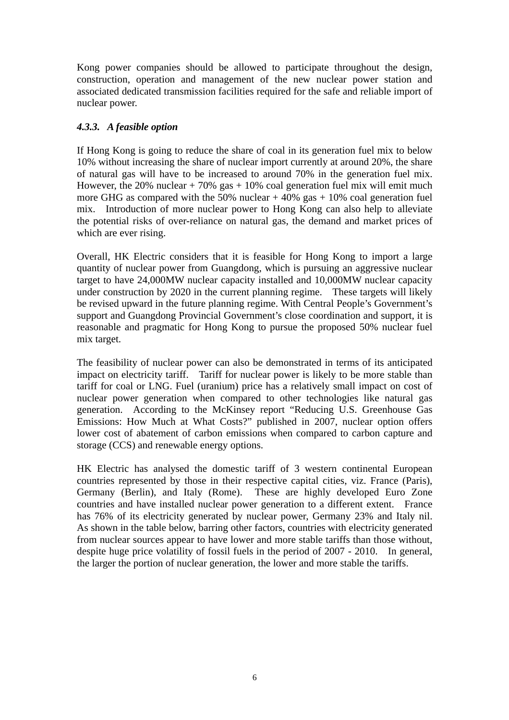Kong power companies should be allowed to participate throughout the design, construction, operation and management of the new nuclear power station and associated dedicated transmission facilities required for the safe and reliable import of nuclear power.

# *4.3.3. A feasible option*

If Hong Kong is going to reduce the share of coal in its generation fuel mix to below 10% without increasing the share of nuclear import currently at around 20%, the share of natural gas will have to be increased to around 70% in the generation fuel mix. However, the 20% nuclear  $+70\%$  gas  $+10\%$  coal generation fuel mix will emit much more GHG as compared with the 50% nuclear  $+40\%$  gas  $+10\%$  coal generation fuel mix. Introduction of more nuclear power to Hong Kong can also help to alleviate the potential risks of over-reliance on natural gas, the demand and market prices of which are ever rising.

Overall, HK Electric considers that it is feasible for Hong Kong to import a large quantity of nuclear power from Guangdong, which is pursuing an aggressive nuclear target to have 24,000MW nuclear capacity installed and 10,000MW nuclear capacity under construction by 2020 in the current planning regime. These targets will likely be revised upward in the future planning regime. With Central People's Government's support and Guangdong Provincial Government's close coordination and support, it is reasonable and pragmatic for Hong Kong to pursue the proposed 50% nuclear fuel mix target.

The feasibility of nuclear power can also be demonstrated in terms of its anticipated impact on electricity tariff. Tariff for nuclear power is likely to be more stable than tariff for coal or LNG. Fuel (uranium) price has a relatively small impact on cost of nuclear power generation when compared to other technologies like natural gas generation. According to the McKinsey report "Reducing U.S. Greenhouse Gas Emissions: How Much at What Costs?" published in 2007, nuclear option offers lower cost of abatement of carbon emissions when compared to carbon capture and storage (CCS) and renewable energy options.

HK Electric has analysed the domestic tariff of 3 western continental European countries represented by those in their respective capital cities, viz. France (Paris), Germany (Berlin), and Italy (Rome). These are highly developed Euro Zone countries and have installed nuclear power generation to a different extent. France has 76% of its electricity generated by nuclear power, Germany 23% and Italy nil. As shown in the table below, barring other factors, countries with electricity generated from nuclear sources appear to have lower and more stable tariffs than those without, despite huge price volatility of fossil fuels in the period of 2007 - 2010. In general, the larger the portion of nuclear generation, the lower and more stable the tariffs.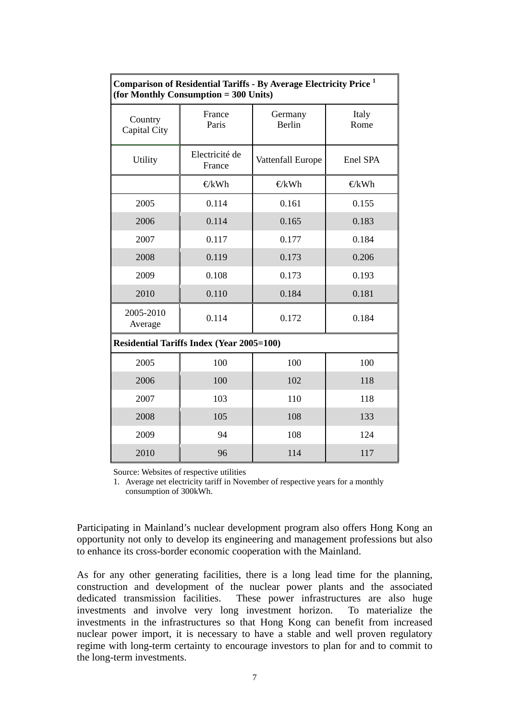| Comparison of Residential Tariffs - By Average Electricity Price 1<br>(for Monthly Consumption = 300 Units) |                          |                   |               |
|-------------------------------------------------------------------------------------------------------------|--------------------------|-------------------|---------------|
| Country<br>Capital City                                                                                     | France<br>Paris          | Germany<br>Berlin | Italy<br>Rome |
| Utility                                                                                                     | Electricité de<br>France | Vattenfall Europe | Enel SPA      |
|                                                                                                             | $E$ kWh                  | $\bigoplus$ kWh   | $E$ kWh       |
| 2005                                                                                                        | 0.114                    | 0.161             | 0.155         |
| 2006                                                                                                        | 0.114                    | 0.165             | 0.183         |
| 2007                                                                                                        | 0.117                    | 0.177             | 0.184         |
| 2008                                                                                                        | 0.119                    | 0.173             | 0.206         |
| 2009                                                                                                        | 0.108                    | 0.173             | 0.193         |
| 2010                                                                                                        | 0.110                    | 0.184             | 0.181         |
| 2005-2010<br>Average                                                                                        | 0.114                    | 0.172             | 0.184         |
| <b>Residential Tariffs Index (Year 2005=100)</b>                                                            |                          |                   |               |
| 2005                                                                                                        | 100                      | 100               | 100           |
| 2006                                                                                                        | 100                      | 102               | 118           |
| 2007                                                                                                        | 103                      | 110               | 118           |
| 2008                                                                                                        | 105                      | 108               | 133           |
| 2009                                                                                                        | 94                       | 108               | 124           |
| 2010                                                                                                        | 96                       | 114               | 117           |

# **Comparison of Residential Tariffs - By Average Electricity Price 1**

Source: Websites of respective utilities

1. Average net electricity tariff in November of respective years for a monthly consumption of 300kWh.

Participating in Mainland's nuclear development program also offers Hong Kong an opportunity not only to develop its engineering and management professions but also to enhance its cross-border economic cooperation with the Mainland.

As for any other generating facilities, there is a long lead time for the planning, construction and development of the nuclear power plants and the associated dedicated transmission facilities. These power infrastructures are also huge investments and involve very long investment horizon. To materialize the investments in the infrastructures so that Hong Kong can benefit from increased nuclear power import, it is necessary to have a stable and well proven regulatory regime with long-term certainty to encourage investors to plan for and to commit to the long-term investments.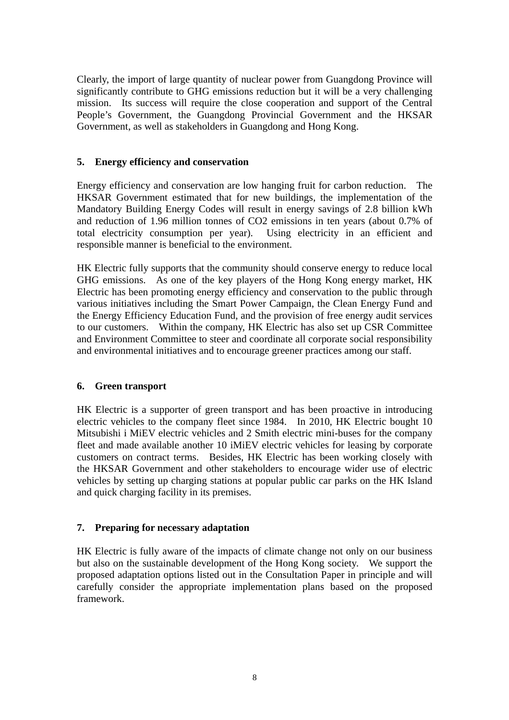Clearly, the import of large quantity of nuclear power from Guangdong Province will significantly contribute to GHG emissions reduction but it will be a very challenging mission. Its success will require the close cooperation and support of the Central People's Government, the Guangdong Provincial Government and the HKSAR Government, as well as stakeholders in Guangdong and Hong Kong.

#### **5. Energy efficiency and conservation**

Energy efficiency and conservation are low hanging fruit for carbon reduction. The HKSAR Government estimated that for new buildings, the implementation of the Mandatory Building Energy Codes will result in energy savings of 2.8 billion kWh and reduction of 1.96 million tonnes of CO2 emissions in ten years (about 0.7% of total electricity consumption per year). Using electricity in an efficient and responsible manner is beneficial to the environment.

HK Electric fully supports that the community should conserve energy to reduce local GHG emissions. As one of the key players of the Hong Kong energy market, HK Electric has been promoting energy efficiency and conservation to the public through various initiatives including the Smart Power Campaign, the Clean Energy Fund and the Energy Efficiency Education Fund, and the provision of free energy audit services to our customers. Within the company, HK Electric has also set up CSR Committee and Environment Committee to steer and coordinate all corporate social responsibility and environmental initiatives and to encourage greener practices among our staff.

#### **6. Green transport**

HK Electric is a supporter of green transport and has been proactive in introducing electric vehicles to the company fleet since 1984. In 2010, HK Electric bought 10 Mitsubishi i MiEV electric vehicles and 2 Smith electric mini-buses for the company fleet and made available another 10 iMiEV electric vehicles for leasing by corporate customers on contract terms. Besides, HK Electric has been working closely with the HKSAR Government and other stakeholders to encourage wider use of electric vehicles by setting up charging stations at popular public car parks on the HK Island and quick charging facility in its premises.

#### **7. Preparing for necessary adaptation**

HK Electric is fully aware of the impacts of climate change not only on our business but also on the sustainable development of the Hong Kong society. We support the proposed adaptation options listed out in the Consultation Paper in principle and will carefully consider the appropriate implementation plans based on the proposed framework.